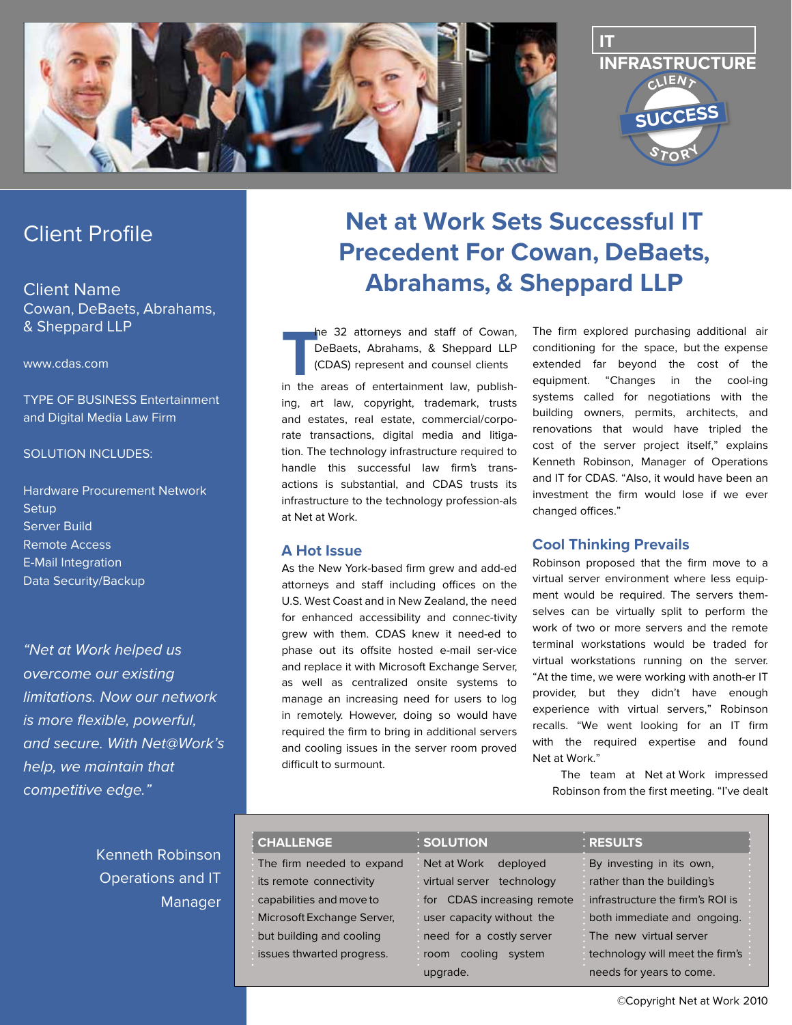

# Client Profile

Client Name Cowan, DeBaets, Abrahams, & Sheppard LLP

www.cdas.com

TYPE OF BUSINESS Entertainment and Digital Media Law Firm

#### SOLUTION INCLUDES:

Hardware Procurement Network **Setup** Server Build Remote Access E-Mail Integration Data Security/Backup

"Net at Work helped us overcome our existing limitations. Now our network is more flexible, powerful, and secure. With Net@Work's help, we maintain that competitive edge."

> Kenneth Robinson Operations and IT Manager

# **Net at Work Sets Successful IT Precedent For Cowan, DeBaets, Abrahams, & Sheppard LLP**

**THE ARE ARE IN THE ARE IS A SHOP THE ARE ISLAMATEL COAS) represent and counsel clients<br>in the areas of entertainment law, publish**he 32 attorneys and staff of Cowan, DeBaets, Abrahams, & Sheppard LLP (CDAS) represent and counsel clients ing, art law, copyright, trademark, trusts and estates, real estate, commercial/corporate transactions, digital media and litigation. The technology infrastructure required to handle this successful law firm's transactions is substantial, and CDAS trusts its infrastructure to the technology profession-als

#### **A Hot Issue**

at Net at Work.

As the New York-based firm grew and add-ed attorneys and staff including offices on the U.S. West Coast and in New Zealand, the need for enhanced accessibility and connec-tivity grew with them. CDAS knew it need-ed to phase out its offsite hosted e-mail ser-vice and replace it with Microsoft Exchange Server, as well as centralized onsite systems to manage an increasing need for users to log in remotely. However, doing so would have required the firm to bring in additional servers and cooling issues in the server room proved difficult to surmount.

The firm explored purchasing additional air conditioning for the space, but the expense extended far beyond the cost of the equipment. "Changes in the cool-ing systems called for negotiations with the building owners, permits, architects, and renovations that would have tripled the cost of the server project itself," explains Kenneth Robinson, Manager of Operations and IT for CDAS. "Also, it would have been an investment the firm would lose if we ever changed offices."

#### **Cool Thinking Prevails**

Robinson proposed that the firm move to a virtual server environment where less equipment would be required. The servers themselves can be virtually split to perform the work of two or more servers and the remote terminal workstations would be traded for virtual workstations running on the server. "At the time, we were working with anoth-er IT provider, but they didn't have enough experience with virtual servers," Robinson recalls. "We went looking for an IT firm with the required expertise and found Net at Work."

The team at Net at Work impressed Robinson from the first meeting. "I've dealt

| <b>CHALLENGE</b>           | : SOLUTION                   | : RESULTS                        |
|----------------------------|------------------------------|----------------------------------|
| The firm needed to expand  | Net at Work<br>deployed      | By investing in its own,         |
| its remote connectivity    | virtual server<br>technology | rather than the building's       |
| capabilities and move to   | for CDAS increasing remote   | infrastructure the firm's ROI is |
| Microsoft Exchange Server, | user capacity without the    | both immediate and ongoing.      |
| but building and cooling   | need for a costly server     | The new virtual server           |
| issues thwarted progress.  | cooling<br>system<br>room    | technology will meet the firm's  |
|                            | upgrade.                     | needs for years to come.         |

© Copyright  Net at Work  2010